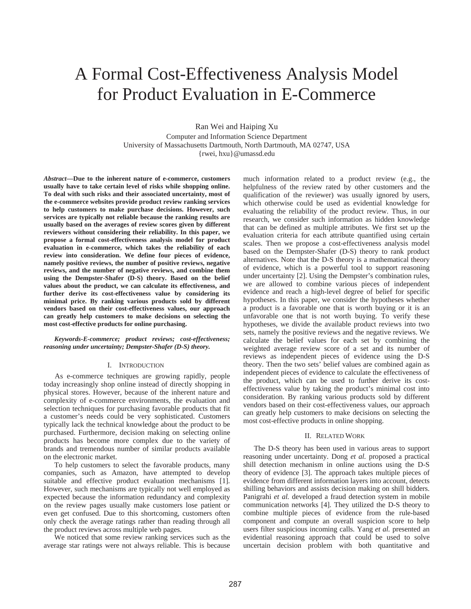# A Formal Cost-Effectiveness Analysis Model for Product Evaluation in E-Commerce

Ran Wei and Haiping Xu

Computer and Information Science Department University of Massachusetts Dartmouth, North Dartmouth, MA 02747, USA {rwei, hxu}@umassd.edu

*Abstract***—Due to the inherent nature of e-commerce, customers usually have to take certain level of risks while shopping online. To deal with such risks and their associated uncertainty, most of the e-commerce websites provide product review ranking services to help customers to make purchase decisions. However, such services are typically not reliable because the ranking results are usually based on the averages of review scores given by different reviewers without considering their reliability. In this paper, we propose a formal cost-effectiveness analysis model for product evaluation in e-commerce, which takes the reliability of each review into consideration. We define four pieces of evidence, namely positive reviews, the number of positive reviews, negative reviews, and the number of negative reviews, and combine them using the Dempster-Shafer (D-S) theory. Based on the belief values about the product, we can calculate its effectiveness, and further derive its cost-effectiveness value by considering its minimal price. By ranking various products sold by different vendors based on their cost-effectiveness values, our approach can greatly help customers to make decisions on selecting the most cost-effective products for online purchasing.** 

## *Keywords-E-commerce; product reviews; cost-effectiveness; reasoning under uncertainty; Dempster-Shafer (D-S) theory.*

## I. INTRODUCTION

As e-commerce techniques are growing rapidly, people today increasingly shop online instead of directly shopping in physical stores. However, because of the inherent nature and complexity of e-commerce environments, the evaluation and selection techniques for purchasing favorable products that fit a customer's needs could be very sophisticated. Customers typically lack the technical knowledge about the product to be purchased. Furthermore, decision making on selecting online products has become more complex due to the variety of brands and tremendous number of similar products available on the electronic market.

To help customers to select the favorable products, many companies, such as Amazon, have attempted to develop suitable and effective product evaluation mechanisms [1]. However, such mechanisms are typically not well employed as expected because the information redundancy and complexity on the review pages usually make customers lose patient or even get confused. Due to this shortcoming, customers often only check the average ratings rather than reading through all the product reviews across multiple web pages.

We noticed that some review ranking services such as the average star ratings were not always reliable. This is because much information related to a product review (e.g., the helpfulness of the review rated by other customers and the qualification of the reviewer) was usually ignored by users, which otherwise could be used as evidential knowledge for evaluating the reliability of the product review. Thus, in our research, we consider such information as hidden knowledge that can be defined as multiple attributes. We first set up the evaluation criteria for each attribute quantified using certain scales. Then we propose a cost-effectiveness analysis model based on the Dempster-Shafer (D-S) theory to rank product alternatives. Note that the D-S theory is a mathematical theory of evidence, which is a powerful tool to support reasoning under uncertainty [2]. Using the Dempster's combination rules, we are allowed to combine various pieces of independent evidence and reach a high-level degree of belief for specific hypotheses. In this paper, we consider the hypotheses whether a product is a favorable one that is worth buying or it is an unfavorable one that is not worth buying. To verify these hypotheses, we divide the available product reviews into two sets, namely the positive reviews and the negative reviews. We calculate the belief values for each set by combining the weighted average review score of a set and its number of reviews as independent pieces of evidence using the D-S theory. Then the two sets' belief values are combined again as independent pieces of evidence to calculate the effectiveness of the product, which can be used to further derive its costeffectiveness value by taking the product's minimal cost into consideration. By ranking various products sold by different vendors based on their cost-effectiveness values, our approach can greatly help customers to make decisions on selecting the most cost-effective products in online shopping.

#### II. RELATED WORK

The D-S theory has been used in various areas to support reasoning under uncertainty. Dong *et al.* proposed a practical shill detection mechanism in online auctions using the D-S theory of evidence [3]. The approach takes multiple pieces of evidence from different information layers into account, detects shilling behaviors and assists decision making on shill bidders. Panigrahi *et al.* developed a fraud detection system in mobile communication networks [4]. They utilized the D-S theory to combine multiple pieces of evidence from the rule-based component and compute an overall suspicion score to help users filter suspicious incoming calls. Yang *et al.* presented an evidential reasoning approach that could be used to solve uncertain decision problem with both quantitative and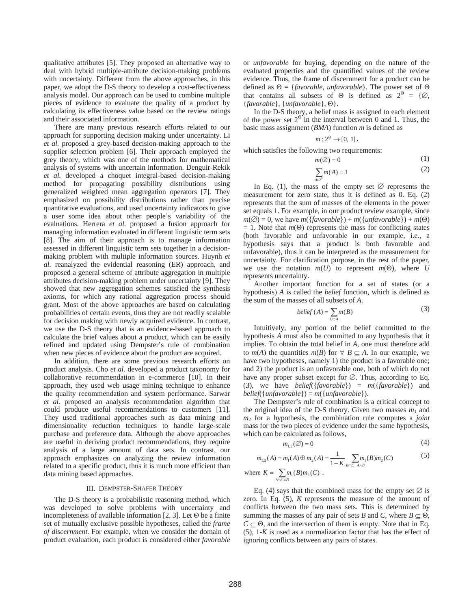qualitative attributes [5]. They proposed an alternative way to deal with hybrid multiple-attribute decision-making problems with uncertainty. Different from the above approaches, in this paper, we adopt the D-S theory to develop a cost-effectiveness analysis model. Our approach can be used to combine multiple pieces of evidence to evaluate the quality of a product by calculating its effectiveness value based on the review ratings and their associated information.

There are many previous research efforts related to our approach for supporting decision making under uncertainty. Li *et al.* proposed a grey-based decision-making approach to the supplier selection problem [6]. Their approach employed the grey theory, which was one of the methods for mathematical analysis of systems with uncertain information. Denguir-Rekik *et al.* developed a choquet integral-based decision-making method for propagating possibility distributions using generalized weighted mean aggregation operators [7]. They emphasized on possibility distributions rather than precise quantitative evaluations, and used uncertainty indicators to give a user some idea about other people's variability of the evaluations. Herrera *et al.* proposed a fusion approach for managing information evaluated in different linguistic term sets [8]. The aim of their approach is to manage information assessed in different linguistic term sets together in a decisionmaking problem with multiple information sources. Huynh *et al.* reanalyzed the evidential reasoning (ER) approach, and proposed a general scheme of attribute aggregation in multiple attributes decision-making problem under uncertainty [9]. They showed that new aggregation schemes satisfied the synthesis axioms, for which any rational aggregation process should grant. Most of the above approaches are based on calculating probabilities of certain events, thus they are not readily scalable for decision making with newly acquired evidence. In contrast, we use the D-S theory that is an evidence-based approach to calculate the brief values about a product, which can be easily refined and updated using Dempster's rule of combination when new pieces of evidence about the product are acquired.

In addition, there are some previous research efforts on product analysis. Cho *et al.* developed a product taxonomy for collaborative recommendation in e-commerce [10]. In their approach, they used web usage mining technique to enhance the quality recommendation and system performance. Sarwar *et al.* proposed an analysis recommendation algorithm that could produce useful recommendations to customers [11]. They used traditional approaches such as data mining and dimensionality reduction techniques to handle large-scale purchase and preference data. Although the above approaches are useful in deriving product recommendations, they require analysis of a large amount of data sets. In contrast, our approach emphasizes on analyzing the review information related to a specific product, thus it is much more efficient than data mining based approaches.

#### III. DEMPSTER-SHAFER THEORY

The D-S theory is a probabilistic reasoning method, which was developed to solve problems with uncertainty and incompleteness of available information [2, 3]. Let  $\Theta$  be a finite set of mutually exclusive possible hypotheses, called the *frame of discernment*. For example, when we consider the domain of product evaluation, each product is considered either *favorable* or *unfavorable* for buying, depending on the nature of the evaluated properties and the quantified values of the review evidence. Thus, the frame of discernment for a product can be defined as  $\Theta = \{favorable, unfavorable\}$ . The power set of  $\Theta$ that contains all subsets of  $\Theta$  is defined as  $2^{\Theta} = {\Theta}$ .  ${favorable}, {unfavorable}, \Theta$ .

In the D-S theory, a belief mass is assigned to each element of the power set  $2^{\Theta}$  in the interval between 0 and 1. Thus, the basic mass assignment (*BMA*) function *m* is defined as

$$
m: 2^{\Theta} \to [0, 1],
$$

which satisfies the following two requirements:

 $m(\emptyset) = 0$ 

$$
(1) \quad
$$

$$
\sum_{A \in 2^{\Theta}} m(A) = 1 \tag{2}
$$

In Eq. (1), the mass of the empty set  $\varnothing$  represents the measurement for zero state, thus it is defined as 0. Eq. (2) represents that the sum of masses of the elements in the power set equals 1. For example, in our product review example, since  $m(\emptyset) = 0$ , we have  $m({favorable}) + m({unfavorable}) + m(\Theta)$  $= 1$ . Note that  $m(\Theta)$  represents the mass for conflicting states (both favorable and unfavorable in our example, i.e., a hypothesis says that a product is both favorable and unfavorable), thus it can be interpreted as the measurement for uncertainty. For clarification purpose, in the rest of the paper, we use the notation  $m(U)$  to represent  $m(\Theta)$ , where *U* represents uncertainty.

Another important function for a set of states (or a hypothesis) *A* is called the *belief* function, which is defined as the sum of the masses of all subsets of *A*.

$$
belief(A) = \sum_{B \subseteq A} m(B) \tag{3}
$$

Intuitively, any portion of the belief committed to the hypothesis *A* must also be committed to any hypothesis that it implies. To obtain the total belief in *A*, one must therefore add to  $m(A)$  the quantities  $m(B)$  for  $\forall B \subset A$ . In our example, we have two hypotheses, namely 1) the product is a favorable one; and 2) the product is an unfavorable one, both of which do not have any proper subset except for  $\emptyset$ . Thus, according to Eq. (3), we have *belief*({*favorable*}) = *m*({*favorable*}) and *belief*({*unfavorable*}) = *m*({*unfavorable*}).

The Dempster's rule of combination is a critical concept to the original idea of the D-S theory. Given two masses  $m_1$  and *m*2 for a hypothesis, the combination rule computes a *joint* mass for the two pieces of evidence under the same hypothesis, which can be calculated as follows,

$$
m_{1,2}(\emptyset) = 0 \tag{4}
$$

$$
m_{1,2}(A) = m_1(A) \oplus m_2(A) = \frac{1}{1 - K} \sum_{B \cap C = A \neq \emptyset} m_1(B) m_2(C)
$$
 (5)

where 
$$
K = \sum_{B \cap C = \emptyset} m_1(B)m_2(C)
$$
.

Eq. (4) says that the combined mass for the empty set  $\varnothing$  is zero. In Eq. (5), *K* represents the measure of the amount of conflicts between the two mass sets. This is determined by summing the masses of any pair of sets *B* and *C*, where  $B \subset \Theta$ ,  $C \subset \Theta$ , and the intersection of them is empty. Note that in Eq. (5), 1-*K* is used as a normalization factor that has the effect of ignoring conflicts between any pairs of states.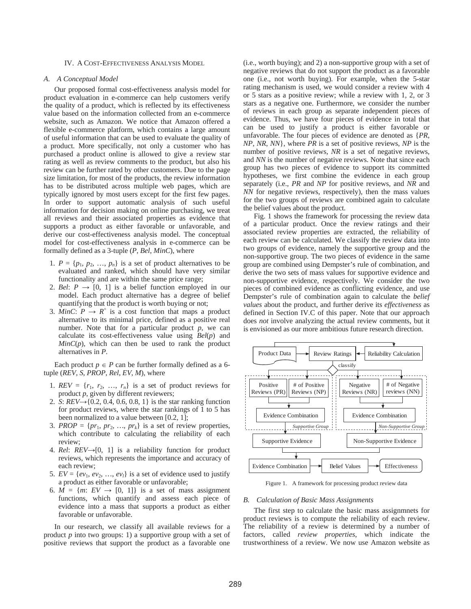## IV. A COST-EFFECTIVENESS ANALYSIS MODEL

## *A. A Conceptual Model*

Our proposed formal cost-effectiveness analysis model for product evaluation in e-commerce can help customers verify the quality of a product, which is reflected by its effectiveness value based on the information collected from an e-commerce website, such as Amazon. We notice that Amazon offered a flexible e-commerce platform, which contains a large amount of useful information that can be used to evaluate the quality of a product. More specifically, not only a customer who has purchased a product online is allowed to give a review star rating as well as review comments to the product, but also his review can be further rated by other customers. Due to the page size limitation, for most of the products, the review information has to be distributed across multiple web pages, which are typically ignored by most users except for the first few pages. In order to support automatic analysis of such useful information for decision making on online purchasing, we treat all reviews and their associated properties as evidence that supports a product as either favorable or unfavorable, and derive our cost-effectiveness analysis model. The conceptual model for cost-effectiveness analysis in e-commerce can be formally defined as a 3-tuple (*P*, *Bel*, *MinC*), where

- 1.  $P = \{p_1, p_2, ..., p_n\}$  is a set of product alternatives to be evaluated and ranked, which should have very similar functionality and are within the same price range;
- 2. *Bel*:  $P \rightarrow [0, 1]$  is a belief function employed in our model. Each product alternative has a degree of belief quantifying that the product is worth buying or not;
- 3.  $\overline{MinC}$ :  $P \rightarrow R^+$  is a cost function that maps a product alternative to its minimal price, defined as a positive real number. Note that for a particular product  $p$ , we can calculate its cost-effectiveness value using *Bel*(*p*) and  $MinC(p)$ , which can then be used to rank the product alternatives in *P*.

Each product  $p \in P$  can be further formally defined as a 6tuple (*REV*, *S*, *PROP*, *Rel*, *EV*, *M*), where

- 1.  $REV = \{r_1, r_2, ..., r_n\}$  is a set of product reviews for product *p*, given by different reviewers;
- 2. *S*:  $REV\rightarrow \{0.2, 0.4, 0.6, 0.8, 1\}$  is the star ranking function for product reviews, where the star rankings of 1 to 5 has been normalized to a value between [0.2, 1];
- 3. *PROP* = { $pr_1$ ,  $pr_2$ , ...,  $pr_k$ } is a set of review properties, which contribute to calculating the reliability of each review;
- 4. *Rel:*  $REV \rightarrow [0, 1]$  is a reliability function for product reviews, which represents the importance and accuracy of each review;
- 5.  $EV = \{ev_1, ev_2, ..., ev_l\}$  is a set of evidence used to justify a product as either favorable or unfavorable;
- 6.  $\overline{M} = \{m: EV \rightarrow [0, 1]\}$  is a set of mass assignment functions, which quantify and assess each piece of evidence into a mass that supports a product as either favorable or unfavorable.

In our research, we classify all available reviews for a product *p* into two groups: 1) a supportive group with a set of positive reviews that support the product as a favorable one (i.e., worth buying); and 2) a non-supportive group with a set of negative reviews that do not support the product as a favorable one (i.e., not worth buying). For example, when the 5-star rating mechanism is used, we would consider a review with 4 or 5 stars as a positive review; while a review with 1, 2, or 3 stars as a negative one. Furthermore, we consider the number of reviews in each group as separate independent pieces of evidence. Thus, we have four pieces of evidence in total that can be used to justify a product is either favorable or unfavorable. The four pieces of evidence are denoted as {*PR*, *NP*, *NR*, *NN*}, where *PR* is a set of positive reviews, *NP* is the number of positive reviews, *NR* is a set of negative reviews, and *NN* is the number of negative reviews. Note that since each group has two pieces of evidence to support its committed hypotheses, we first combine the evidence in each group separately (i.e., *PR* and *NP* for positive reviews, and *NR* and *NN* for negative reviews, respectively), then the mass values for the two groups of reviews are combined again to calculate the belief values about the product.

Fig. 1 shows the framework for processing the review data of a particular product. Once the review ratings and their associated review properties are extracted, the reliability of each review can be calculated. We classify the review data into two groups of evidence, namely the supportive group and the non-supportive group. The two pieces of evidence in the same group are combined using Dempster's rule of combination, and derive the two sets of mass values for supportive evidence and non-supportive evidence, respectively. We consider the two pieces of combined evidence as conflicting evidence, and use Dempster's rule of combination again to calculate the *belief values* about the product, and further derive its *effectiveness* as defined in Section IV.C of this paper. Note that our approach does *not* involve analyzing the actual review comments, but it is envisioned as our more ambitious future research direction.



Figure 1. A framework for processing product review data

#### *B. Calculation of Basic Mass Assignments*

The first step to calculate the basic mass assignmnets for product reviews is to compute the reliability of each review. The reliability of a review is determined by a number of factors, called *review properties*, which indicate the trustworthiness of a review. We now use Amazon website as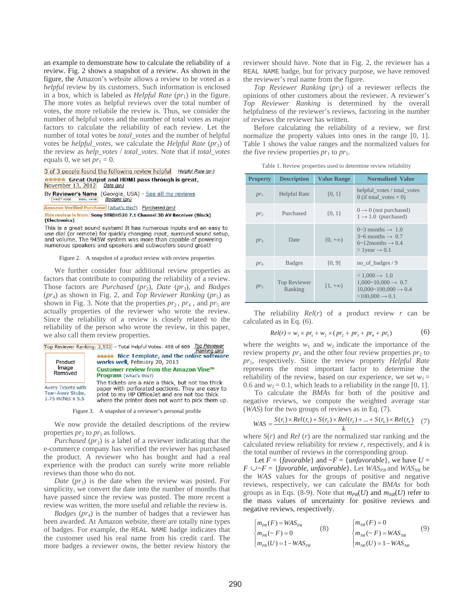an example to demonstrate how to calculate the reliability of a review. Fig. 2 shows a snapshot of a review. As shown in the figure, the Amazon's website allows a review to be voted as a *helpful* review by its customers. Such information is enclosed in a box, which is labeled as *Helpful Rate*  $(pr_1)$  in the figure. The more votes as helpful reviews over the total number of votes, the more reliabile the review is. Thus, we consider the number of helpful votes and the number of total votes as major factors to calculate the reliability of each review. Let the number of total votes be *total\_votes* and the number of helpful votes be *helpful\_votes*, we calculate the *Helpful Rate* (*pr*<sub>1</sub>) of the review as *help\_votes* / *total\_votes*. Note that if *total\_votes* equals 0, we set  $pr_1 = 0$ .

### 3 of 3 people found the following review helpful Helpful Rate (pri) \*\*\*\*\* Great Output and HDMI pass through is great, November 13, 2012 Date (prs)

By Reviewer's Name (Georgia, USA) - See all my reviews Badges (pr4) VINE<sup>19</sup> VOICE REAL NAME

Amazon Verified Purchase (What's this?) Purchased (pr2)

This review is from: Sony STRDH520 7.1 Channel 3D AV Receiver (Black) (Electronics)

This is a great sound system! It has numerous inputs and an easy to use dial (or remote) for quickly changing input, surround sound setup, and volume. The 945W system was more than capable of powering numerous speakers and speakers and subwoofers sound great!

### Figure 2. A snapshot of a product review with review properties

We further consider four additional review properties as factors that contribute to computing the reliability of a review. Those factors are *Purchased* (*pr*2), *Date* (*pr*3), and *Badges*  (*pr*4) as shown in Fig. 2, and *Top Reviewer Ranking* (*pr*5) as shown in Fig. 3. Note that the properties  $pr_2$ ,  $pr_4$ , and  $pr_5$  are actually properties of the reviewer who wrote the review. Since the reliability of a review is closely related to the reliability of the person who wrote the review, in this paper, we also call them review properties.

Top Reviewer Ranking: 2,532 - Total Helpful Votes: 498 of 609 Top Reviewer

| Product<br>Image<br>Removed                                                 | Rahking Tursi<br>***** Nice Template, and the online software<br>works well, February 20, 2013<br>Customer review from the Amazon Vine™<br><b>Program</b> (What's this?)                                     |  |  |  |
|-----------------------------------------------------------------------------|--------------------------------------------------------------------------------------------------------------------------------------------------------------------------------------------------------------|--|--|--|
| <b>Avery Tickets with</b><br>Tear-Away Stubs,<br>$1.75$ inches $\times$ 5.5 | The tickets are a nice a thick, but not too thick<br>paper with perforated sections. They are easy to<br>print to my HP Office Jet and are not too thick<br>where the printer does not want to pick them up. |  |  |  |

Figure 3. A snapshot of a reviewer's personal profile

We now provide the detailed descriptions of the review properties  $pr_2$  to  $pr_5$  as follows.

*Purchased (pr<sub>2</sub>)* is a label of a reviewer indicating that the e-commerce company has verified the reviewer has purchased the product. A reviewer who has bought and had a real experience with the product can surely write more reliable reviews than those who do not.

*Date* (*pr*<sub>3</sub>) is the date when the review was posted. For simplicity, we convert the date into the number of months that have passed since the review was posted. The more recent a review was written, the more useful and reliable the review is.

*Badges* (*pr<sub>4</sub>*) is the number of badges that a reviewer has been awarded. At Amazon website, there are totally nine types of badges. For example, the REAL NAME badge indicates that the customer used his real name from his credit card. The more badges a reviewer owns, the better review history the reviewer should have. Note that in Fig. 2, the reviewer has a REAL NAME badge, but for privacy purpose, we have removed the reviewer's real name from the figure.

*Top Reviewer Ranking (pr<sub>5</sub>)* of a reviewer reflects the opinions of other customers about the reviewer. A reviewer's *Top Reviewer Ranking* is determined by the overall helpfulness of the reviewer's reviews, factoring in the number of reviews the reviewer has written.

Before calculating the reliability of a review, we first normalize the property values into ones in the range [0, 1]. Table 1 shows the value ranges and the normalized values for the five review properties  $pr_1$  to  $pr_5$ .

| Table 1. Review properties used to determine review reliability |  |  |  |
|-----------------------------------------------------------------|--|--|--|
|                                                                 |  |  |  |

| <b>Property</b> | <b>Description</b>      | <b>Value Range</b>       | <b>Normalized Value</b>                                                                                                                       |
|-----------------|-------------------------|--------------------------|-----------------------------------------------------------------------------------------------------------------------------------------------|
| $pr_1$          | <b>Helpful Rate</b>     | [0, 1]                   | helpful_votes / total_votes<br>0 (if total votes $= 0$ )                                                                                      |
| $pr_2$          | Purchased               | ${0, 1}$                 | $0 \rightarrow 0$ (not purchased)<br>$1 \rightarrow 1.0$ (purchased)                                                                          |
| $pr_3$          | Date                    | $[0, +\infty)$           | $0\sim$ 3 months $\rightarrow 1.0$<br>$3\neg 6$ months $\rightarrow 0.7$<br>$6\sim12$ months $\rightarrow 0.4$<br>$>1$ year $\rightarrow 0.1$ |
| $pr_4$          | <b>Badges</b>           | [0, 9]                   | no_of_badges / 9                                                                                                                              |
| $pr_5$          | Top Reviewer<br>Ranking | $\left[1,+\infty\right)$ | $< 1,000 \rightarrow 1.0$<br>$1,000~10,000 \rightarrow 0.7$<br>$10,000~100,000 \rightarrow 0.4$<br>$>100,000 \rightarrow 0.1$                 |

The reliability  $Rel(r)$  of a product review  $r$  can be calculated as in Eq. (6).

$$
Rel(r) = w_1 \times pr_1 + w_2 \times (pr_2 + pr_3 + pr_4 + pr_5)
$$
 (6)

where the weights  $w_1$  and  $w_2$  indicate the importance of the review property  $pr_1$  and the other four review properties  $pr_2$  to *pr*5, respectively. Since the review property *Helpful Rate* represents the most important factor to determine the reliability of the review, based on our experience, we set  $w_1 =$ 0.6 and  $w_2 = 0.1$ , which leads to a reliability in the range [0, 1].

To calculate the *BMA*s for both of the positive and negative reviews, we compute the weighted average star (*WAS*) for the two groups of reviews as in Eq. (7).

$$
WAS = \frac{S(r_1) \times Rel(r_1) + S(r_2) \times Rel(r_2) + \dots + S(r_k) \times Rel(r_k)}{k}
$$
 (7)

where  $S(r)$  and  $Rel(r)$  are the normalized star ranking and the calculated review reliability for review *r*, respectively, and *k* is the total number of reviews in the corresponding group.

Let  $F = \{favorable\}$  and  $\sim F = \{unfavorable\}$ , we have  $U =$  $F \cup F = \{favorable, unfavorable\}$ . Let  $WAS_{PR}$  and  $WAS_{NR}$  be the *WAS* values for the groups of positive and negative reviews, respectively, we can calculate the *BMAs* for both groups as in Eqs. (8-9). Note that  $m_{PR}(U)$  and  $m_{NR}(U)$  refer to the mass values of uncertainty for positive reviews and negative reviews, respectively.

$$
\begin{cases}\nm_{PR}(F) = WAS_{PR} & (8) \\
m_{PR}(\sim F) = 0 & (9) \\
m_{PR}(U) = 1 - WAS_{PR} & m_{NR}(U) = 1 - WAS_{NR}\n\end{cases}
$$
\n
$$
(9)
$$
\n
$$
\begin{cases}\nm_{NR}(F) = 0 & (9) \\
m_{NR}(U) = 1 - WAS_{NR}\n\end{cases}
$$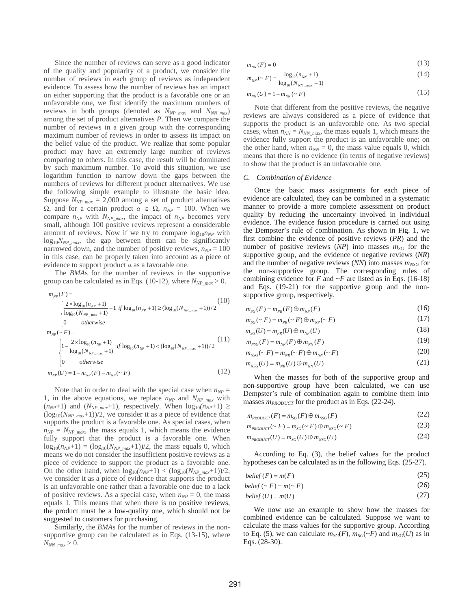Since the number of reviews can serve as a good indicator of the quality and popularity of a product, we consider the number of reviews in each group of reviews as independent evidence. To assess how the number of reviews has an impact on either supporting that the product is a favorable one or an unfavorable one, we first identify the maximum numbers of reviews in both groups (denoted as  $N_{NP\_max}$  and  $N_{NN\_max}$ ) among the set of product alternatives *P*. Then we compare the number of reviews in a given group with the corresponding maximum number of reviews in order to assess its impact on the belief value of the product. We realize that some popular product may have an extremely large number of reviews comparing to others. In this case, the result will be dominated by such maximum number. To avoid this situation, we use logarithm function to narrow down the gaps between the numbers of reviews for different product alternatives. We use the following simple example to illustrate the basic idea. Suppose  $N_{NP_{max}}$  = 2,000 among a set of product alternatives  $\Omega$ , and for a certain product  $\alpha \in \Omega$ ,  $n_{NP} = 100$ . When we compare  $n_{NP}$  with  $N_{NP}$  <sub>max</sub>, the impact of  $n_{NP}$  becomes very small, although 100 positive reviews represent a considerable amount of reviews. Now if we try to compare  $log_{10}n_{NP}$  with  $log_{10}N_{NP,max}$ , the gap between them can be significantly narrowed down, and the number of positive reviews,  $n_{NP} = 100$ in this case, can be properly taken into account as a piece of evidence to support product  $\alpha$  as a favorable one.

The *BMA*s for the number of reviews in the supportive group can be calculated as in Eqs. (10-12), where  $N_{NP_{max}} > 0$ .

$$
m_{NP}(F) = \begin{cases} 2 \times \log_{10}(n_{NP} + 1) - 1 & \text{if } \log_{10}(n_{NP} + 1) \ge (\log_{10}(N_{NP_{\text{max}}} + 1))/2 \\ \log_{10}(N_{NP_{\text{max}}} + 1) & \text{if } \log_{10}(n_{NP} + 1) \ge (\log_{10}(N_{NP_{\text{max}}} + 1))/2 \end{cases} (10)
$$
\n
$$
m_{NP}(\sim F) = \begin{cases} 1 - \frac{2 \times \log_{10}(n_{NP} + 1)}{\log_{10}(N_{NP_{\text{max}}} + 1)} & \text{if } \log_{10}(n_{NP} + 1) < (\log_{10}(N_{NP_{\text{max}}} + 1))/2 \\ 0 & \text{otherwise} \end{cases} (11)
$$
\n
$$
m_{NP}(U) = 1 - m_{NP}(F) - m_{NP}(\sim F) \qquad (12)
$$

Note that in order to deal with the special case when  $n_{NP}$  = 1, in the above equations, we replace  $n_{NP}$  and  $N_{NP}$ <sub>max</sub> with  $(n_{NP}+1)$  and  $(N_{NP\ max}+1)$ , respectively. When  $log_{10}(n_{NP}+1) \ge$  $(\log_{10}(N_{NP\_max}+1))$ /2, we consider it as a piece of evidence that supports the product is a favorable one. As special cases, when  $n_{NP} = N_{NP,max}$ , the mass equals 1, which means the evidence fully support that the product is a favorable one. When  $log_{10}(n_{NP}+1) = (log_{10}(N_{NP\_max}+1))/2$ , the mass equals 0, which means we do not consider the insufficient positive reviews as a piece of evidence to support the product as a favorable one. On the other hand, when  $\log_{10}(n_{NP}+1) < (\log_{10}(N_{NP~max}+1))/2$ , we consider it as a piece of evidence that supports the product is an unfavorable one rather than a favorable one due to a lack of positive reviews. As a special case, when  $n_{NP} = 0$ , the mass equals 1. This means that when there is no positive reviews, the product must be a low-quality one, which should not be suggested to customers for purchasing.

Similarly, the *BMA*s for the number of reviews in the nonsupportive group can be calculated as in Eqs. (13-15), where  $N_{NN \, max}$  > 0.

$$
m_{NN}(F) = 0 \tag{13}
$$

$$
m_{NN}(\sim F) = \frac{\log_{10}(n_{NN} + 1)}{\log_{10}(N_{NN_{\text{max}}} + 1)}\tag{14}
$$

$$
m_{NN}(U) = 1 - m_{NN}(\sim F) \tag{15}
$$

Note that different from the positive reviews, the negative reviews are always considered as a piece of evidence that supports the product is an unfavorable one. As two special cases, when  $n_{NN} = N_{NN}$  <sub>max</sub>, the mass equals 1, which means the evidence fully support the product is an unfavorable one; on the other hand, when  $n_{NN} = 0$ , the mass value equals 0, which means that there is no evidence (in terms of negative reviews) to show that the product is an unfavorable one.

### *C. Combination of Evidence*

Once the basic mass assignments for each piece of evidence are calculated, they can be combined in a systematic manner to provide a more complete assessment on product quality by reducing the uncertainty involved in individual evidence. The evidence fusion procedure is carried out using the Dempster's rule of combination. As shown in Fig. 1, we first combine the evidence of positive reviews (*PR*) and the number of positive reviews  $(NP)$  into masses  $m_{SG}$  for the supportive group, and the evidence of negative reviews (*NR*) and the number of negative reviews  $(NN)$  into masses  $m_{NSG}$  for the non-supportive group. The corresponding rules of combining evidence for  $F$  and  $\neg F$  are listed as in Eqs. (16-18) and Eqs. (19-21) for the supportive group and the nonsupportive group, respectively.

$$
m_{SG}(F) = m_{PR}(F) \oplus m_{NP}(F) \tag{16}
$$

$$
m_{SG}(\sim F) = m_{PR}(\sim F) \oplus m_{NP}(\sim F)
$$
\n(17)

$$
m_{SG}(U) = m_{PR}(U) \oplus m_{NP}(U)
$$
\n(18)

$$
m_{NSG}(F) = m_{NR}(F) \oplus m_{NN}(F)
$$
\n
$$
m_{NSG}(F) = m_{SNG}(F) \oplus m_{SNG}(F)
$$
\n(19)

$$
m_{NSG}(\sim r) = m_{NR}(\sim r) \oplus m_{NN}(\sim r)
$$
\n(20)

$$
m_{NSG}(U) = m_{NR}(U) \oplus m_{NN}(U)
$$
\n(21)

When the masses for both of the supportive group and non-supportive group have been calculated, we can use Dempster's rule of combination again to combine them into masses  $m_{PRODUCT}$  for the product as in Eqs. (22-24).

$$
m_{PRODUT}(F) = m_{SG}(F) \oplus m_{NSG}(F)
$$
\n(22)

$$
m_{PRODUT}(\sim F) = m_{SG}(\sim F) \oplus m_{NSG}(\sim F)
$$
\n(23)

$$
m_{PRODUT}(U) = m_{SG}(U) \oplus m_{NSG}(U)
$$
\n(24)

According to Eq. (3), the belief values for the product hypotheses can be calculated as in the following Eqs. (25-27).

$$
belief(F) = m(F) \tag{25}
$$

$$
belief(\sim F) = m(\sim F) \tag{26}
$$

$$
belief(U) = m(U) \tag{27}
$$

We now use an example to show how the masses for combined evidence can be calculated. Suppose we want to calculate the mass values for the supportive group. According to Eq. (5), we can calculate  $m_{SG}(F)$ ,  $m_{SG}(\sim F)$  and  $m_{SG}(U)$  as in Eqs. (28-30).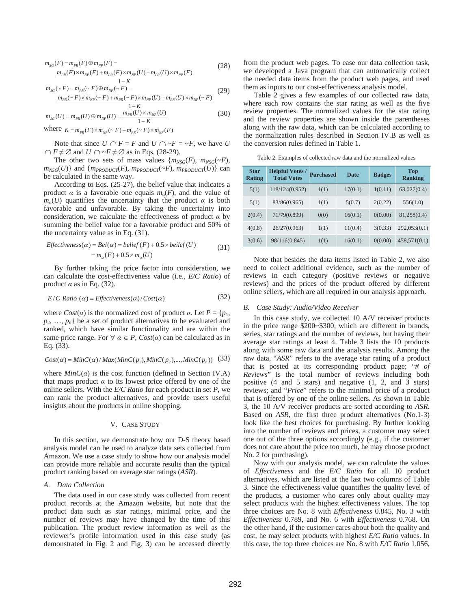$$
m_{SG}(F) = m_{PR}(F) \oplus m_{NP}(F) =
$$
  
\n
$$
m_{PR}(F) \times m_{NP}(F) + m_{PR}(F) \times m_{NP}(U) + m_{PR}(U) \times m_{NP}(F)
$$
\n(28)

$$
1-K
$$
  
\n
$$
m_{SG}(\sim F) = m_{PR}(\sim F) \oplus m_{NP}(\sim F) =
$$
  
\n
$$
m_{PR}(\sim F) \times m_{NP}(\sim F) + m_{PR}(\sim F) \times m_{NP}(U) + m_{PR}(U) \times m_{NP}(\sim F)
$$
 (29)

$$
m_{SG}(U) = m_{PR}(U) \oplus m_{NP}(U) = \frac{1 - K}{1 - K}
$$
\nwhere  $\mu$  and  $\mu$  is the sum of the following matrices.

\n(30)

where  $K = m_{PR}(F) \times m_{NP}(\sim F) + m_{PR}(\sim F) \times m_{NP}(F)$ 

Note that since  $U \cap F = F$  and  $U \cap \neg F = \neg F$ , we have U  $\bigcap F \neq \emptyset$  and  $U \bigcap \neg F \neq \emptyset$  as in Eqs. (28-29).

The other two sets of mass values  ${m_{NSG}(F), m_{NSG}(\sim F)}$ ,  $m_{NSG}(U)$ } and  $\{m_{PRODUT}(F), m_{PRODUT}(\sim F), m_{PRODUT}(U)\}$  can be calculated in the same way.

According to Eqs. (25-27), the belief value that indicates a product  $\alpha$  is a favorable one equals  $m_q(F)$ , and the value of  $m_q(U)$  quantifies the uncertainty that the product  $\alpha$  is both favorable and unfavorable. By taking the uncertainty into consideration, we calculate the effectiveness of product  $\alpha$  by summing the belief value for a favorable product and 50% of the uncertainty value as in Eq. (31).

*Effectiveness*(
$$
\alpha
$$
) = *Bel*( $\alpha$ ) = *belief*( $F$ ) + 0.5 × *beilef*( $U$ )  
=  $m_{\alpha}(F)$  + 0.5 ×  $m_{\alpha}(U)$  (31)

By further taking the price factor into consideration, we can calculate the cost-effectiveness value (i.e., *E/C Ratio*) of product  $\alpha$  as in Eq. (32).

$$
E/C \text{ Ratio } (\alpha) = Effectiveness(\alpha) / Cost(\alpha) \tag{32}
$$

where  $Cost(\alpha)$  is the normalized cost of product  $\alpha$ . Let  $P = \{p_1,$  $p_2, \ldots, p_n$  be a set of product alternatives to be evaluated and ranked, which have similar functionality and are within the same price range. For  $\forall \alpha \in P$ ,  $Cost(\alpha)$  can be calculated as in Eq. (33).

$$
Cost(\alpha) = MinC(\alpha) / Max(MinC(p_1), MinC(p_2), ..., MinC(p_n))
$$
 (33)

where  $MinC(\alpha)$  is the cost function (defined in Section IV.A) that maps product  $\alpha$  to its lowest price offered by one of the online sellers. With the *E/C Ratio* for each product in set *P*, we can rank the product alternatives, and provide users useful insights about the products in online shopping.

## V. CASE STUDY

In this section, we demonstrate how our D-S theory based analysis model can be used to analyze data sets collected from Amazon. We use a case study to show how our analysis model can provide more reliable and accurate results than the typical product ranking based on average star ratings (*ASR*).

## *A. Data Collection*

The data used in our case study was collected from recent product records at the Amazon website, but note that the product data such as star ratings, minimal price, and the number of reviews may have changed by the time of this publication. The product review information as well as the reviewer's profile information used in this case study (as demonstrated in Fig. 2 and Fig. 3) can be accessed directly

from the product web pages. To ease our data collection task, we developed a Java program that can automatically collect the needed data items from the product web pages, and used them as inputs to our cost-effectiveness analysis model.

Table 2 gives a few examples of our collected raw data, where each row contains the star rating as well as the five review properties. The normalized values for the star rating and the review properties are shown inside the parentheses along with the raw data, which can be calculated according to the normalization rules described in Section IV.B as well as the conversion rules defined in Table 1.

Table 2. Examples of collected raw data and the normalized values

| <b>Star</b><br><b>Rating</b> | <b>Helpful Votes /</b><br><b>Total Votes</b> | <b>Purchased</b> | <b>Date</b> | <b>Badges</b> | <b>Top</b><br><b>Ranking</b> |
|------------------------------|----------------------------------------------|------------------|-------------|---------------|------------------------------|
| 5(1)                         | 118/124(0.952)                               | 1(1)             | 17(0.1)     | 1(0.11)       | 63,027(0.4)                  |
| 5(1)                         | 83/86(0.965)                                 | 1(1)             | 5(0.7)      | 2(0.22)       | 556(1.0)                     |
| 2(0.4)                       | 71/79(0.899)                                 | 0(0)             | 16(0.1)     | 0(0.00)       | 81,258(0.4)                  |
| 4(0.8)                       | 26/27(0.963)                                 | 1(1)             | 11(0.4)     | 3(0.33)       | 292,053(0.1)                 |
| 3(0.6)                       | 98/116(0.845)                                | 1(1)             | 16(0.1)     | 0(0.00)       | 458,571(0.1)                 |

Note that besides the data items listed in Table 2, we also need to collect additional evidence, such as the number of reviews in each category (positive reviews or negative reviews) and the prices of the product offered by different online sellers, which are all required in our analysis approach.

### *B. Case Study: Audio/Video Receiver*

In this case study, we collected 10 A/V receiver products in the price range \$200~\$300, which are different in brands, series, star ratings and the number of reviews, but having their average star ratings at least 4. Table 3 lists the 10 products along with some raw data and the analysis results. Among the raw data, "*ASR*" refers to the average star rating of a product that is posted at its corresponding product page; "*# of Reviews*" is the total number of reviews including both positive (4 and 5 stars) and negative (1, 2, and 3 stars) reviews; and "*Price*" refers to the minimal price of a product that is offered by one of the online sellers. As shown in Table 3, the 10 A/V receiver products are sorted according to *ASR*. Based on *ASR*, the first three product alternatives (No.1-3) look like the best choices for purchasing. By further looking into the number of reviews and prices, a customer may select one out of the three options accordingly (e.g., if the customer does not care about the price too much, he may choose product No. 2 for purchasing).

Now with our analysis model, we can calculate the values of *Effectiveness* and the *E/C Ratio* for all 10 product alternatives, which are listed at the last two columns of Table 3. Since the effectiveness value quantifies the quality level of the products, a customer who cares only about quality may select products with the highest effectiveness values. The top three choices are No. 8 with *Effectiveness* 0.845, No. 3 with *Effectiveness* 0.789, and No. 6 with *Effectiveness* 0.768. On the other hand, if the customer cares about both the quality and cost, he may select products with highest *E/C Ratio* values. In this case, the top three choices are No. 8 with *E/C Ratio* 1.056,